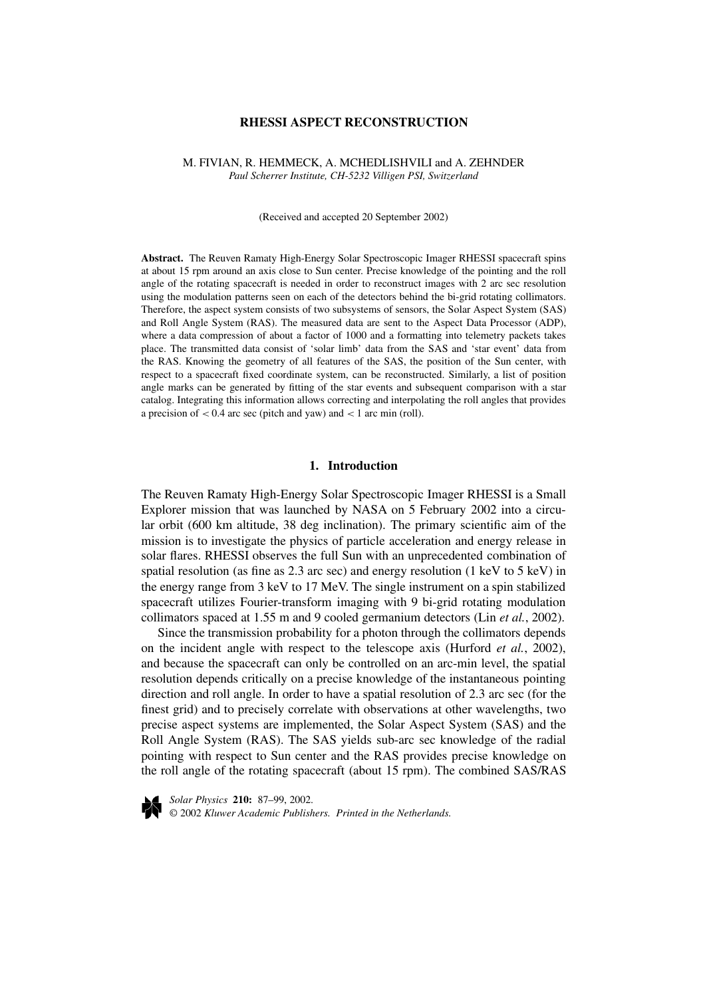# **RHESSI ASPECT RECONSTRUCTION**

M. FIVIAN, R. HEMMECK, A. MCHEDLISHVILI and A. ZEHNDER *Paul Scherrer Institute, CH-5232 Villigen PSI, Switzerland*

(Received and accepted 20 September 2002)

**Abstract.** The Reuven Ramaty High-Energy Solar Spectroscopic Imager RHESSI spacecraft spins at about 15 rpm around an axis close to Sun center. Precise knowledge of the pointing and the roll angle of the rotating spacecraft is needed in order to reconstruct images with 2 arc sec resolution using the modulation patterns seen on each of the detectors behind the bi-grid rotating collimators. Therefore, the aspect system consists of two subsystems of sensors, the Solar Aspect System (SAS) and Roll Angle System (RAS). The measured data are sent to the Aspect Data Processor (ADP), where a data compression of about a factor of 1000 and a formatting into telemetry packets takes place. The transmitted data consist of 'solar limb' data from the SAS and 'star event' data from the RAS. Knowing the geometry of all features of the SAS, the position of the Sun center, with respect to a spacecraft fixed coordinate system, can be reconstructed. Similarly, a list of position angle marks can be generated by fitting of the star events and subsequent comparison with a star catalog. Integrating this information allows correcting and interpolating the roll angles that provides a precision of *<* 0.4 arc sec (pitch and yaw) and *<* 1 arc min (roll).

## **1. Introduction**

The Reuven Ramaty High-Energy Solar Spectroscopic Imager RHESSI is a Small Explorer mission that was launched by NASA on 5 February 2002 into a circular orbit (600 km altitude, 38 deg inclination). The primary scientific aim of the mission is to investigate the physics of particle acceleration and energy release in solar flares. RHESSI observes the full Sun with an unprecedented combination of spatial resolution (as fine as 2.3 arc sec) and energy resolution (1 keV to 5 keV) in the energy range from 3 keV to 17 MeV. The single instrument on a spin stabilized spacecraft utilizes Fourier-transform imaging with 9 bi-grid rotating modulation collimators spaced at 1.55 m and 9 cooled germanium detectors (Lin *et al.*, 2002).

Since the transmission probability for a photon through the collimators depends on the incident angle with respect to the telescope axis (Hurford *et al.*, 2002), and because the spacecraft can only be controlled on an arc-min level, the spatial resolution depends critically on a precise knowledge of the instantaneous pointing direction and roll angle. In order to have a spatial resolution of 2.3 arc sec (for the finest grid) and to precisely correlate with observations at other wavelengths, two precise aspect systems are implemented, the Solar Aspect System (SAS) and the Roll Angle System (RAS). The SAS yields sub-arc sec knowledge of the radial pointing with respect to Sun center and the RAS provides precise knowledge on the roll angle of the rotating spacecraft (about 15 rpm). The combined SAS/RAS



*Solar Physics* **210:** 87–99, 2002. © 2002 *Kluwer Academic Publishers. Printed in the Netherlands.*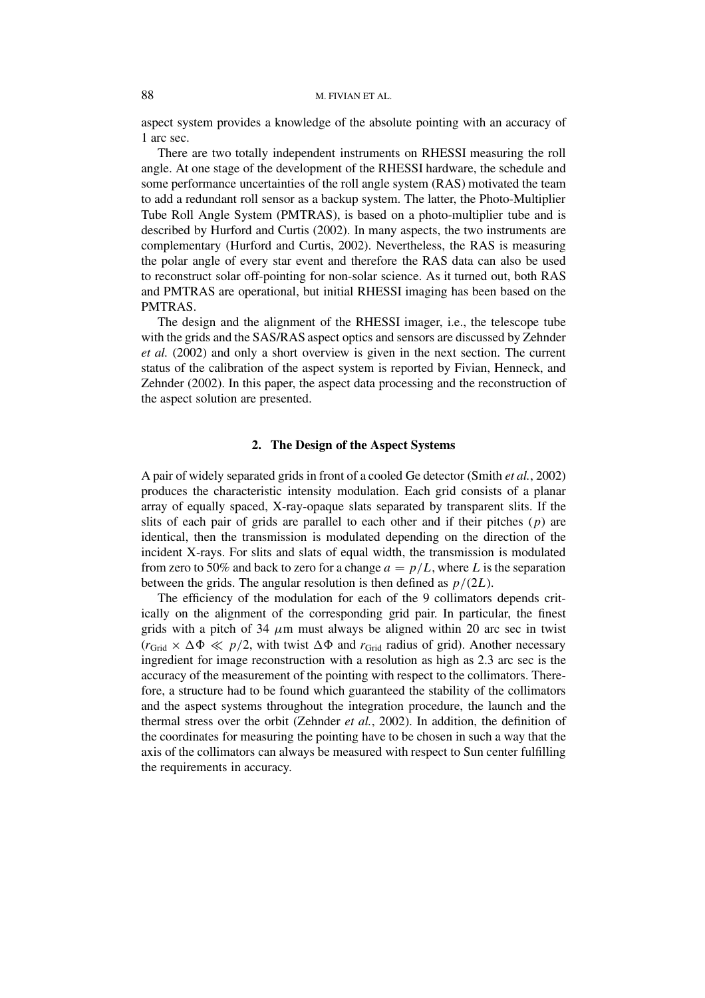### 88 M. FIVIAN ET AL.

aspect system provides a knowledge of the absolute pointing with an accuracy of 1 arc sec.

There are two totally independent instruments on RHESSI measuring the roll angle. At one stage of the development of the RHESSI hardware, the schedule and some performance uncertainties of the roll angle system (RAS) motivated the team to add a redundant roll sensor as a backup system. The latter, the Photo-Multiplier Tube Roll Angle System (PMTRAS), is based on a photo-multiplier tube and is described by Hurford and Curtis (2002). In many aspects, the two instruments are complementary (Hurford and Curtis, 2002). Nevertheless, the RAS is measuring the polar angle of every star event and therefore the RAS data can also be used to reconstruct solar off-pointing for non-solar science. As it turned out, both RAS and PMTRAS are operational, but initial RHESSI imaging has been based on the PMTRAS.

The design and the alignment of the RHESSI imager, i.e., the telescope tube with the grids and the SAS/RAS aspect optics and sensors are discussed by Zehnder *et al.* (2002) and only a short overview is given in the next section. The current status of the calibration of the aspect system is reported by Fivian, Henneck, and Zehnder (2002). In this paper, the aspect data processing and the reconstruction of the aspect solution are presented.

## **2. The Design of the Aspect Systems**

A pair of widely separated grids in front of a cooled Ge detector (Smith *et al.*, 2002) produces the characteristic intensity modulation. Each grid consists of a planar array of equally spaced, X-ray-opaque slats separated by transparent slits. If the slits of each pair of grids are parallel to each other and if their pitches (*p*) are identical, then the transmission is modulated depending on the direction of the incident X-rays. For slits and slats of equal width, the transmission is modulated from zero to 50% and back to zero for a change  $a = p/L$ , where L is the separation between the grids. The angular resolution is then defined as *p/(*2*L*).

The efficiency of the modulation for each of the 9 collimators depends critically on the alignment of the corresponding grid pair. In particular, the finest grids with a pitch of 34  $\mu$ m must always be aligned within 20 arc sec in twist  $(r_{\text{Grid}} \times \Delta \Phi \ll p/2$ , with twist  $\Delta \Phi$  and  $r_{\text{Grid}}$  radius of grid). Another necessary ingredient for image reconstruction with a resolution as high as 2.3 arc sec is the accuracy of the measurement of the pointing with respect to the collimators. Therefore, a structure had to be found which guaranteed the stability of the collimators and the aspect systems throughout the integration procedure, the launch and the thermal stress over the orbit (Zehnder *et al.*, 2002). In addition, the definition of the coordinates for measuring the pointing have to be chosen in such a way that the axis of the collimators can always be measured with respect to Sun center fulfilling the requirements in accuracy.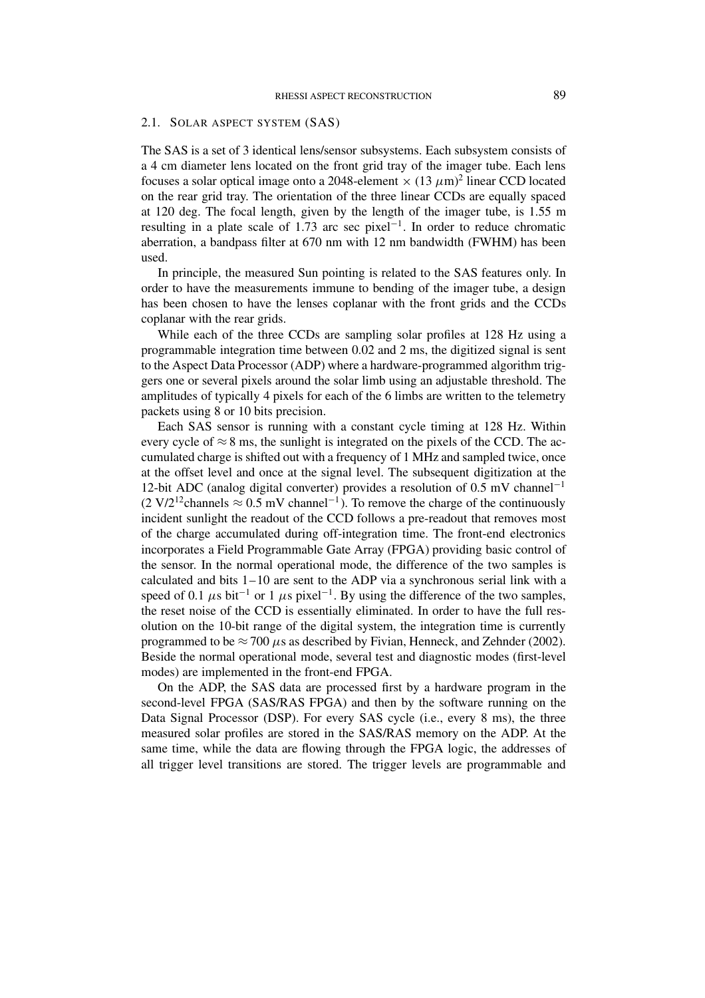## 2.1. SOLAR ASPECT SYSTEM (SAS)

The SAS is a set of 3 identical lens/sensor subsystems. Each subsystem consists of a 4 cm diameter lens located on the front grid tray of the imager tube. Each lens focuses a solar optical image onto a 2048-element  $\times$  (13  $\mu$ m)<sup>2</sup> linear CCD located on the rear grid tray. The orientation of the three linear CCDs are equally spaced at 120 deg. The focal length, given by the length of the imager tube, is 1.55 m resulting in a plate scale of 1.73 arc sec pixel−1. In order to reduce chromatic aberration, a bandpass filter at 670 nm with 12 nm bandwidth (FWHM) has been used.

In principle, the measured Sun pointing is related to the SAS features only. In order to have the measurements immune to bending of the imager tube, a design has been chosen to have the lenses coplanar with the front grids and the CCDs coplanar with the rear grids.

While each of the three CCDs are sampling solar profiles at 128 Hz using a programmable integration time between 0.02 and 2 ms, the digitized signal is sent to the Aspect Data Processor (ADP) where a hardware-programmed algorithm triggers one or several pixels around the solar limb using an adjustable threshold. The amplitudes of typically 4 pixels for each of the 6 limbs are written to the telemetry packets using 8 or 10 bits precision.

Each SAS sensor is running with a constant cycle timing at 128 Hz. Within every cycle of  $\approx 8$  ms, the sunlight is integrated on the pixels of the CCD. The accumulated charge is shifted out with a frequency of 1 MHz and sampled twice, once at the offset level and once at the signal level. The subsequent digitization at the 12-bit ADC (analog digital converter) provides a resolution of 0.5 mV channel−<sup>1</sup>  $(2 \text{ V}/2^{12} \text{channels} \approx 0.5 \text{ mV channel}^{-1})$ . To remove the charge of the continuously incident sunlight the readout of the CCD follows a pre-readout that removes most of the charge accumulated during off-integration time. The front-end electronics incorporates a Field Programmable Gate Array (FPGA) providing basic control of the sensor. In the normal operational mode, the difference of the two samples is calculated and bits  $1-10$  are sent to the ADP via a synchronous serial link with a speed of 0.1  $\mu$ s bit<sup>-1</sup> or 1  $\mu$ s pixel<sup>-1</sup>. By using the difference of the two samples, the reset noise of the CCD is essentially eliminated. In order to have the full resolution on the 10-bit range of the digital system, the integration time is currently programmed to be  $\approx$  700  $\mu$ s as described by Fivian, Henneck, and Zehnder (2002). Beside the normal operational mode, several test and diagnostic modes (first-level modes) are implemented in the front-end FPGA.

On the ADP, the SAS data are processed first by a hardware program in the second-level FPGA (SAS/RAS FPGA) and then by the software running on the Data Signal Processor (DSP). For every SAS cycle (i.e., every 8 ms), the three measured solar profiles are stored in the SAS/RAS memory on the ADP. At the same time, while the data are flowing through the FPGA logic, the addresses of all trigger level transitions are stored. The trigger levels are programmable and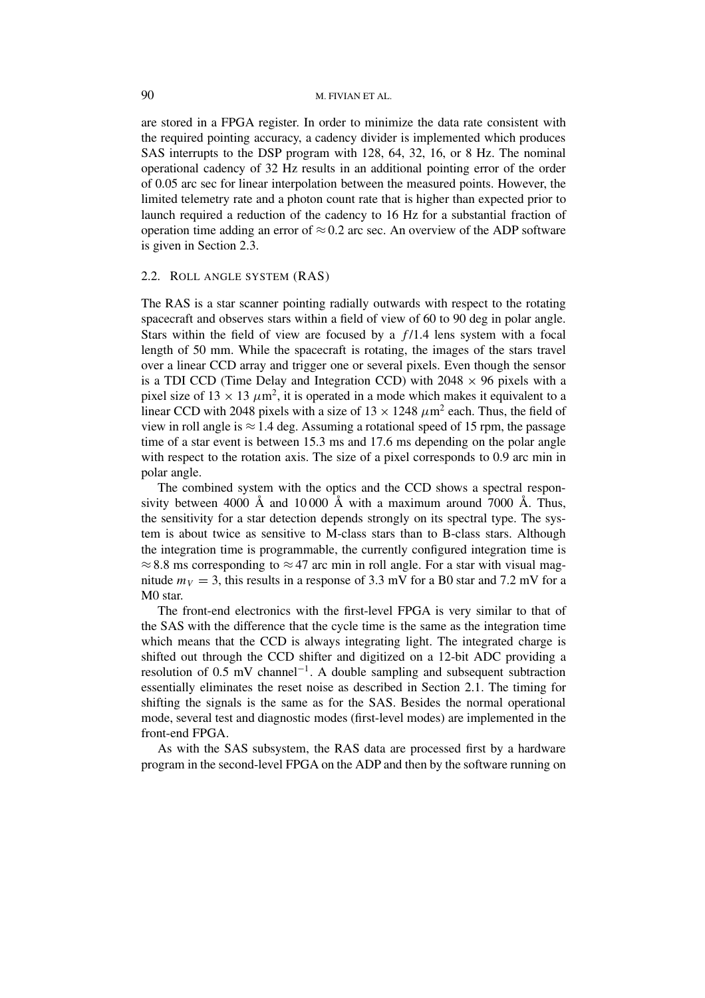# 90 M. FIVIAN ET AL.

are stored in a FPGA register. In order to minimize the data rate consistent with the required pointing accuracy, a cadency divider is implemented which produces SAS interrupts to the DSP program with 128, 64, 32, 16, or 8 Hz. The nominal operational cadency of 32 Hz results in an additional pointing error of the order of 0.05 arc sec for linear interpolation between the measured points. However, the limited telemetry rate and a photon count rate that is higher than expected prior to launch required a reduction of the cadency to 16 Hz for a substantial fraction of operation time adding an error of  $\approx 0.2$  arc sec. An overview of the ADP software is given in Section 2.3.

### 2.2. ROLL ANGLE SYSTEM (RAS)

The RAS is a star scanner pointing radially outwards with respect to the rotating spacecraft and observes stars within a field of view of 60 to 90 deg in polar angle. Stars within the field of view are focused by a *f* /1.4 lens system with a focal length of 50 mm. While the spacecraft is rotating, the images of the stars travel over a linear CCD array and trigger one or several pixels. Even though the sensor is a TDI CCD (Time Delay and Integration CCD) with  $2048 \times 96$  pixels with a pixel size of  $13 \times 13 \ \mu \text{m}^2$ , it is operated in a mode which makes it equivalent to a linear CCD with 2048 pixels with a size of  $13 \times 1248 \ \mu m^2$  each. Thus, the field of view in roll angle is  $\approx$  1.4 deg. Assuming a rotational speed of 15 rpm, the passage time of a star event is between 15.3 ms and 17.6 ms depending on the polar angle with respect to the rotation axis. The size of a pixel corresponds to 0.9 arc min in polar angle.

The combined system with the optics and the CCD shows a spectral responsivity between 4000  $\AA$  and 10 000  $\AA$  with a maximum around 7000  $\AA$ . Thus, the sensitivity for a star detection depends strongly on its spectral type. The system is about twice as sensitive to M-class stars than to B-class stars. Although the integration time is programmable, the currently configured integration time is  $\approx$  8.8 ms corresponding to  $\approx$  47 arc min in roll angle. For a star with visual magnitude  $m_V = 3$ , this results in a response of 3.3 mV for a B0 star and 7.2 mV for a M0 star.

The front-end electronics with the first-level FPGA is very similar to that of the SAS with the difference that the cycle time is the same as the integration time which means that the CCD is always integrating light. The integrated charge is shifted out through the CCD shifter and digitized on a 12-bit ADC providing a resolution of 0.5 mV channel−1. A double sampling and subsequent subtraction essentially eliminates the reset noise as described in Section 2.1. The timing for shifting the signals is the same as for the SAS. Besides the normal operational mode, several test and diagnostic modes (first-level modes) are implemented in the front-end FPGA.

As with the SAS subsystem, the RAS data are processed first by a hardware program in the second-level FPGA on the ADP and then by the software running on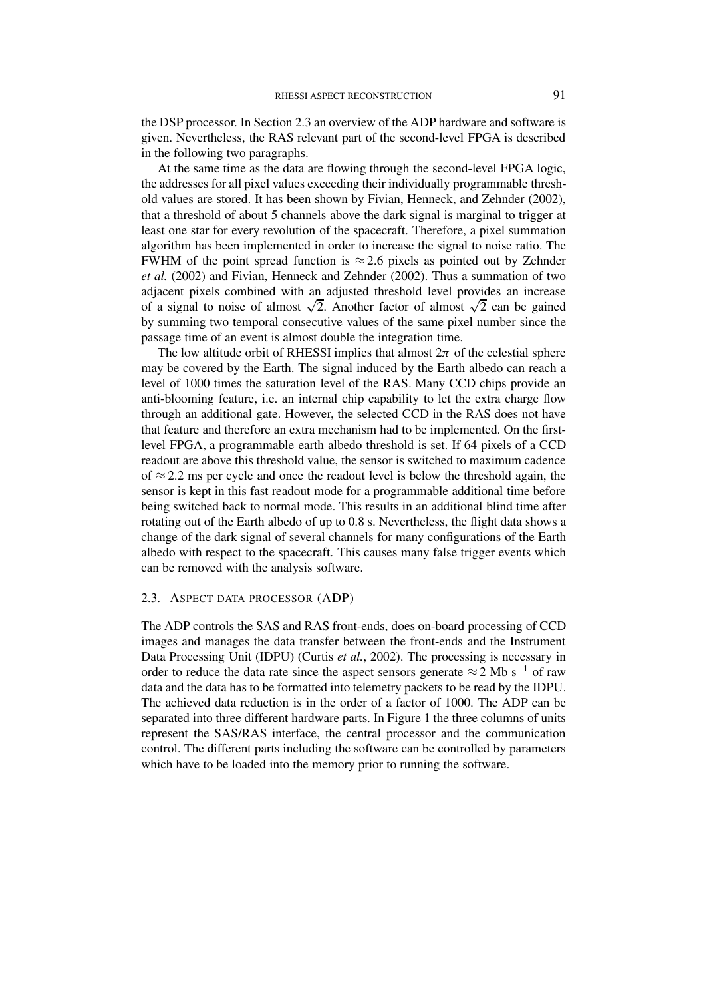the DSP processor. In Section 2.3 an overview of the ADP hardware and software is given. Nevertheless, the RAS relevant part of the second-level FPGA is described in the following two paragraphs.

At the same time as the data are flowing through the second-level FPGA logic, the addresses for all pixel values exceeding their individually programmable threshold values are stored. It has been shown by Fivian, Henneck, and Zehnder (2002), that a threshold of about 5 channels above the dark signal is marginal to trigger at least one star for every revolution of the spacecraft. Therefore, a pixel summation algorithm has been implemented in order to increase the signal to noise ratio. The FWHM of the point spread function is  $\approx 2.6$  pixels as pointed out by Zehnder *et al.* (2002) and Fivian, Henneck and Zehnder (2002). Thus a summation of two adjacent pixels combined with an adjusted threshold level provides an increase of a signal to noise of almost  $\sqrt{2}$ . Another factor of almost  $\sqrt{2}$  can be gained by summing two temporal consecutive values of the same pixel number since the passage time of an event is almost double the integration time.

The low altitude orbit of RHESSI implies that almost  $2\pi$  of the celestial sphere may be covered by the Earth. The signal induced by the Earth albedo can reach a level of 1000 times the saturation level of the RAS. Many CCD chips provide an anti-blooming feature, i.e. an internal chip capability to let the extra charge flow through an additional gate. However, the selected CCD in the RAS does not have that feature and therefore an extra mechanism had to be implemented. On the firstlevel FPGA, a programmable earth albedo threshold is set. If 64 pixels of a CCD readout are above this threshold value, the sensor is switched to maximum cadence of  $\approx$  2.2 ms per cycle and once the readout level is below the threshold again, the sensor is kept in this fast readout mode for a programmable additional time before being switched back to normal mode. This results in an additional blind time after rotating out of the Earth albedo of up to 0.8 s. Nevertheless, the flight data shows a change of the dark signal of several channels for many configurations of the Earth albedo with respect to the spacecraft. This causes many false trigger events which can be removed with the analysis software.

#### 2.3. ASPECT DATA PROCESSOR (ADP)

The ADP controls the SAS and RAS front-ends, does on-board processing of CCD images and manages the data transfer between the front-ends and the Instrument Data Processing Unit (IDPU) (Curtis *et al.*, 2002). The processing is necessary in order to reduce the data rate since the aspect sensors generate  $\approx$  2 Mb s<sup>-1</sup> of raw data and the data has to be formatted into telemetry packets to be read by the IDPU. The achieved data reduction is in the order of a factor of 1000. The ADP can be separated into three different hardware parts. In Figure 1 the three columns of units represent the SAS/RAS interface, the central processor and the communication control. The different parts including the software can be controlled by parameters which have to be loaded into the memory prior to running the software.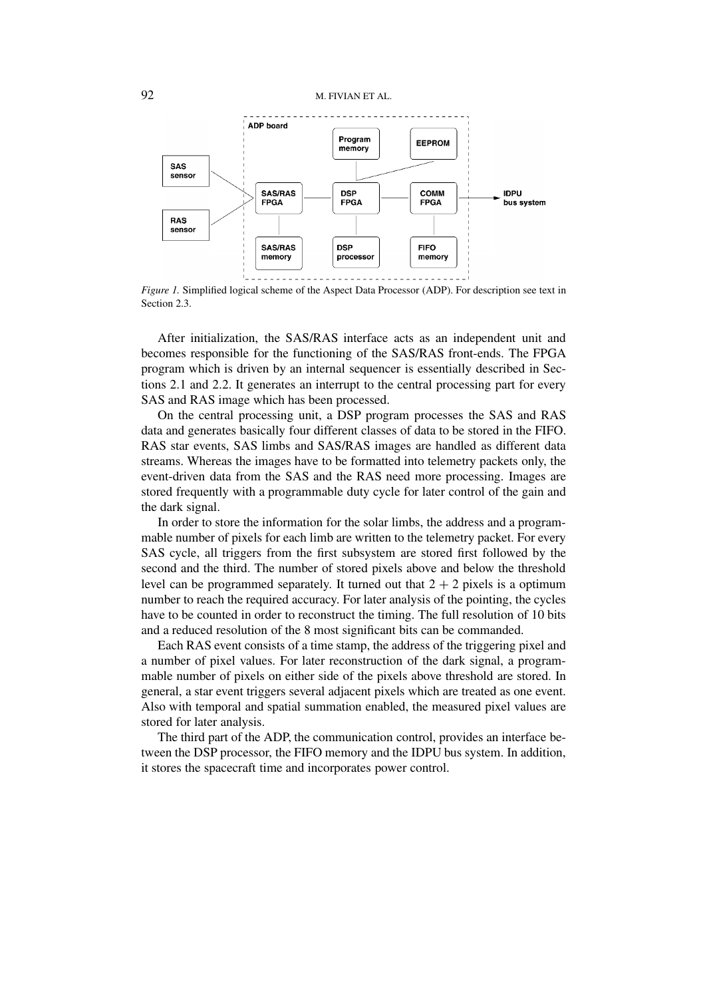

*Figure 1.* Simplified logical scheme of the Aspect Data Processor (ADP). For description see text in Section 2.3.

After initialization, the SAS/RAS interface acts as an independent unit and becomes responsible for the functioning of the SAS/RAS front-ends. The FPGA program which is driven by an internal sequencer is essentially described in Sections 2.1 and 2.2. It generates an interrupt to the central processing part for every SAS and RAS image which has been processed.

On the central processing unit, a DSP program processes the SAS and RAS data and generates basically four different classes of data to be stored in the FIFO. RAS star events, SAS limbs and SAS/RAS images are handled as different data streams. Whereas the images have to be formatted into telemetry packets only, the event-driven data from the SAS and the RAS need more processing. Images are stored frequently with a programmable duty cycle for later control of the gain and the dark signal.

In order to store the information for the solar limbs, the address and a programmable number of pixels for each limb are written to the telemetry packet. For every SAS cycle, all triggers from the first subsystem are stored first followed by the second and the third. The number of stored pixels above and below the threshold level can be programmed separately. It turned out that  $2 + 2$  pixels is a optimum number to reach the required accuracy. For later analysis of the pointing, the cycles have to be counted in order to reconstruct the timing. The full resolution of 10 bits and a reduced resolution of the 8 most significant bits can be commanded.

Each RAS event consists of a time stamp, the address of the triggering pixel and a number of pixel values. For later reconstruction of the dark signal, a programmable number of pixels on either side of the pixels above threshold are stored. In general, a star event triggers several adjacent pixels which are treated as one event. Also with temporal and spatial summation enabled, the measured pixel values are stored for later analysis.

The third part of the ADP, the communication control, provides an interface between the DSP processor, the FIFO memory and the IDPU bus system. In addition, it stores the spacecraft time and incorporates power control.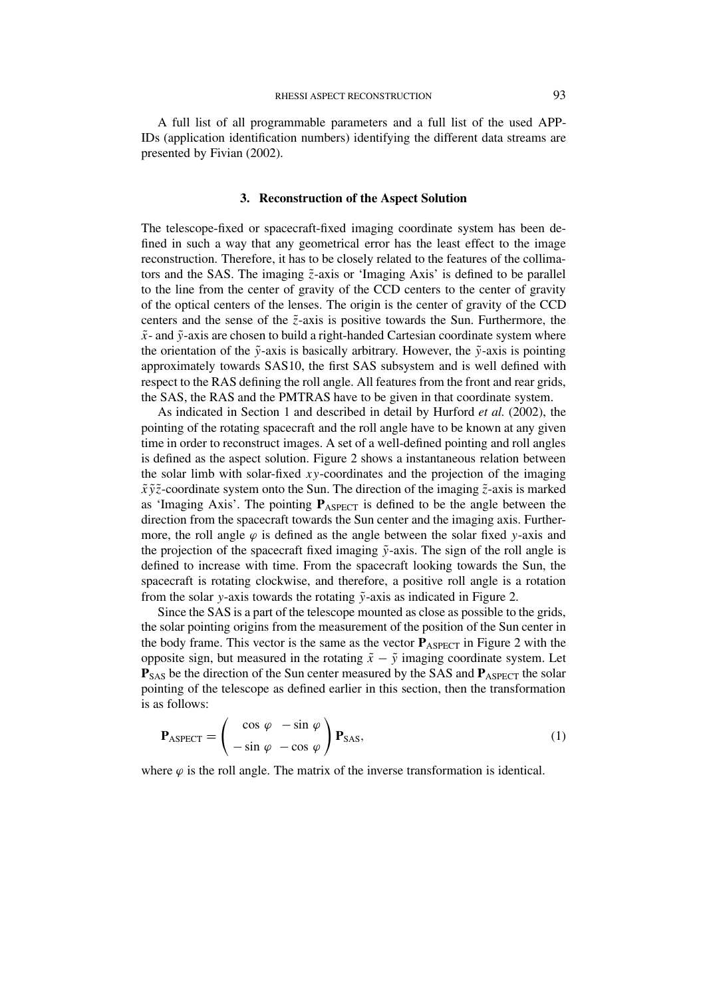A full list of all programmable parameters and a full list of the used APP-IDs (application identification numbers) identifying the different data streams are presented by Fivian (2002).

#### **3. Reconstruction of the Aspect Solution**

The telescope-fixed or spacecraft-fixed imaging coordinate system has been defined in such a way that any geometrical error has the least effect to the image reconstruction. Therefore, it has to be closely related to the features of the collimators and the SAS. The imaging  $\tilde{z}$ -axis or 'Imaging Axis' is defined to be parallel to the line from the center of gravity of the CCD centers to the center of gravity of the optical centers of the lenses. The origin is the center of gravity of the CCD centers and the sense of the  $\tilde{z}$ -axis is positive towards the Sun. Furthermore, the  $\tilde{x}$ - and  $\tilde{y}$ -axis are chosen to build a right-handed Cartesian coordinate system where the orientation of the  $\tilde{y}$ -axis is basically arbitrary. However, the  $\tilde{y}$ -axis is pointing approximately towards SAS10, the first SAS subsystem and is well defined with respect to the RAS defining the roll angle. All features from the front and rear grids, the SAS, the RAS and the PMTRAS have to be given in that coordinate system.

As indicated in Section 1 and described in detail by Hurford *et al.* (2002), the pointing of the rotating spacecraft and the roll angle have to be known at any given time in order to reconstruct images. A set of a well-defined pointing and roll angles is defined as the aspect solution. Figure 2 shows a instantaneous relation between the solar limb with solar-fixed  $xy$ -coordinates and the projection of the imaging  $\tilde{x} \tilde{y} \tilde{z}$ -coordinate system onto the Sun. The direction of the imaging  $\tilde{z}$ -axis is marked as 'Imaging Axis'. The pointing **P**ASPECT is defined to be the angle between the direction from the spacecraft towards the Sun center and the imaging axis. Furthermore, the roll angle  $\varphi$  is defined as the angle between the solar fixed *y*-axis and the projection of the spacecraft fixed imaging  $\tilde{y}$ -axis. The sign of the roll angle is defined to increase with time. From the spacecraft looking towards the Sun, the spacecraft is rotating clockwise, and therefore, a positive roll angle is a rotation from the solar *y*-axis towards the rotating  $\tilde{y}$ -axis as indicated in Figure 2.

Since the SAS is a part of the telescope mounted as close as possible to the grids, the solar pointing origins from the measurement of the position of the Sun center in the body frame. This vector is the same as the vector  $P_{\text{ASPECT}}$  in Figure 2 with the opposite sign, but measured in the rotating  $\tilde{x} - \tilde{y}$  imaging coordinate system. Let **P**<sub>SAS</sub> be the direction of the Sun center measured by the SAS and **P**<sub>ASPECT</sub> the solar pointing of the telescope as defined earlier in this section, then the transformation is as follows:

$$
\mathbf{P}_{\text{ASPECT}} = \begin{pmatrix} \cos \varphi & -\sin \varphi \\ -\sin \varphi & -\cos \varphi \end{pmatrix} \mathbf{P}_{\text{SAS}},\tag{1}
$$

where  $\varphi$  is the roll angle. The matrix of the inverse transformation is identical.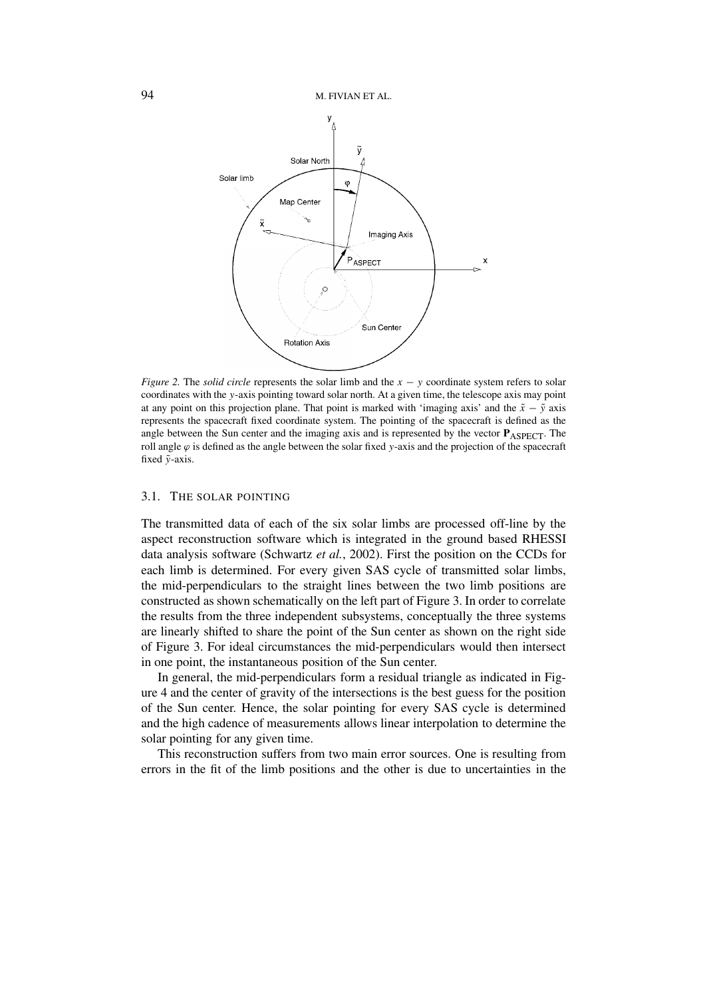

*Figure 2.* The *solid circle* represents the solar limb and the *x* − *y* coordinate system refers to solar coordinates with the *y*-axis pointing toward solar north. At a given time, the telescope axis may point at any point on this projection plane. That point is marked with 'imaging axis' and the  $\tilde{x} - \tilde{y}$  axis represents the spacecraft fixed coordinate system. The pointing of the spacecraft is defined as the angle between the Sun center and the imaging axis and is represented by the vector  $P_{ASPECT}$ . The roll angle  $\varphi$  is defined as the angle between the solar fixed *y*-axis and the projection of the spacecraft fixed  $\tilde{v}$ -axis.

# 3.1. THE SOLAR POINTING

The transmitted data of each of the six solar limbs are processed off-line by the aspect reconstruction software which is integrated in the ground based RHESSI data analysis software (Schwartz *et al.*, 2002). First the position on the CCDs for each limb is determined. For every given SAS cycle of transmitted solar limbs, the mid-perpendiculars to the straight lines between the two limb positions are constructed as shown schematically on the left part of Figure 3. In order to correlate the results from the three independent subsystems, conceptually the three systems are linearly shifted to share the point of the Sun center as shown on the right side of Figure 3. For ideal circumstances the mid-perpendiculars would then intersect in one point, the instantaneous position of the Sun center.

In general, the mid-perpendiculars form a residual triangle as indicated in Figure 4 and the center of gravity of the intersections is the best guess for the position of the Sun center. Hence, the solar pointing for every SAS cycle is determined and the high cadence of measurements allows linear interpolation to determine the solar pointing for any given time.

This reconstruction suffers from two main error sources. One is resulting from errors in the fit of the limb positions and the other is due to uncertainties in the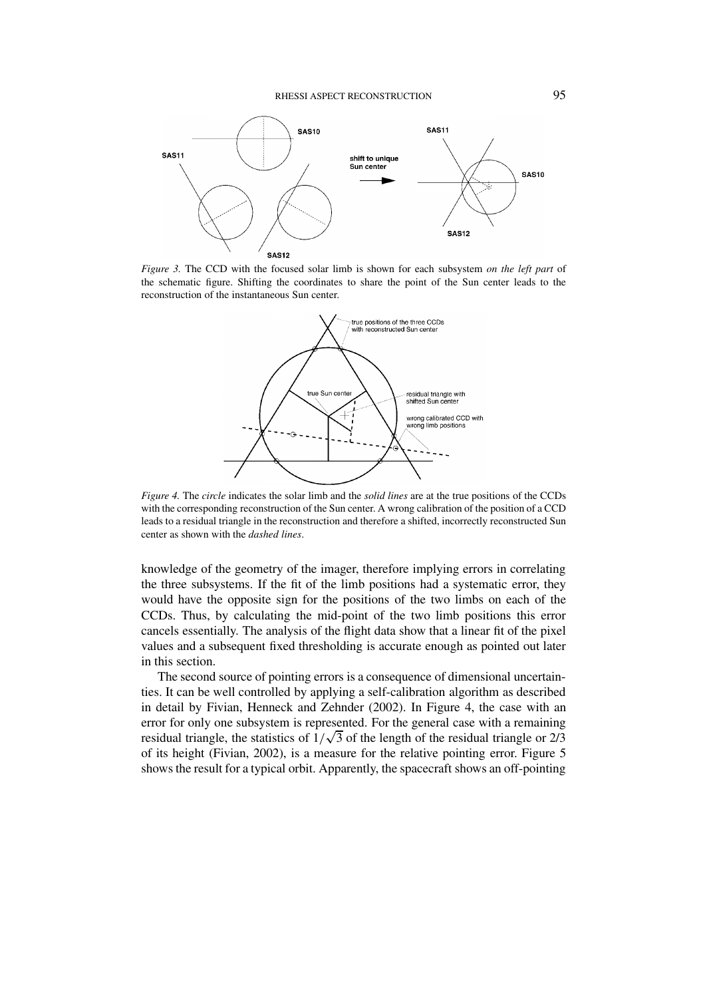

*Figure 3.* The CCD with the focused solar limb is shown for each subsystem *on the left part* of the schematic figure. Shifting the coordinates to share the point of the Sun center leads to the reconstruction of the instantaneous Sun center.



*Figure 4.* The *circle* indicates the solar limb and the *solid lines* are at the true positions of the CCDs with the corresponding reconstruction of the Sun center. A wrong calibration of the position of a CCD leads to a residual triangle in the reconstruction and therefore a shifted, incorrectly reconstructed Sun center as shown with the *dashed lines*.

knowledge of the geometry of the imager, therefore implying errors in correlating the three subsystems. If the fit of the limb positions had a systematic error, they would have the opposite sign for the positions of the two limbs on each of the CCDs. Thus, by calculating the mid-point of the two limb positions this error cancels essentially. The analysis of the flight data show that a linear fit of the pixel values and a subsequent fixed thresholding is accurate enough as pointed out later in this section.

The second source of pointing errors is a consequence of dimensional uncertainties. It can be well controlled by applying a self-calibration algorithm as described in detail by Fivian, Henneck and Zehnder (2002). In Figure 4, the case with an error for only one subsystem is represented. For the general case with a remaining residual triangle, the statistics of  $1/\sqrt{3}$  of the length of the residual triangle or 2/3 of its height (Fivian, 2002), is a measure for the relative pointing error. Figure 5 shows the result for a typical orbit. Apparently, the spacecraft shows an off-pointing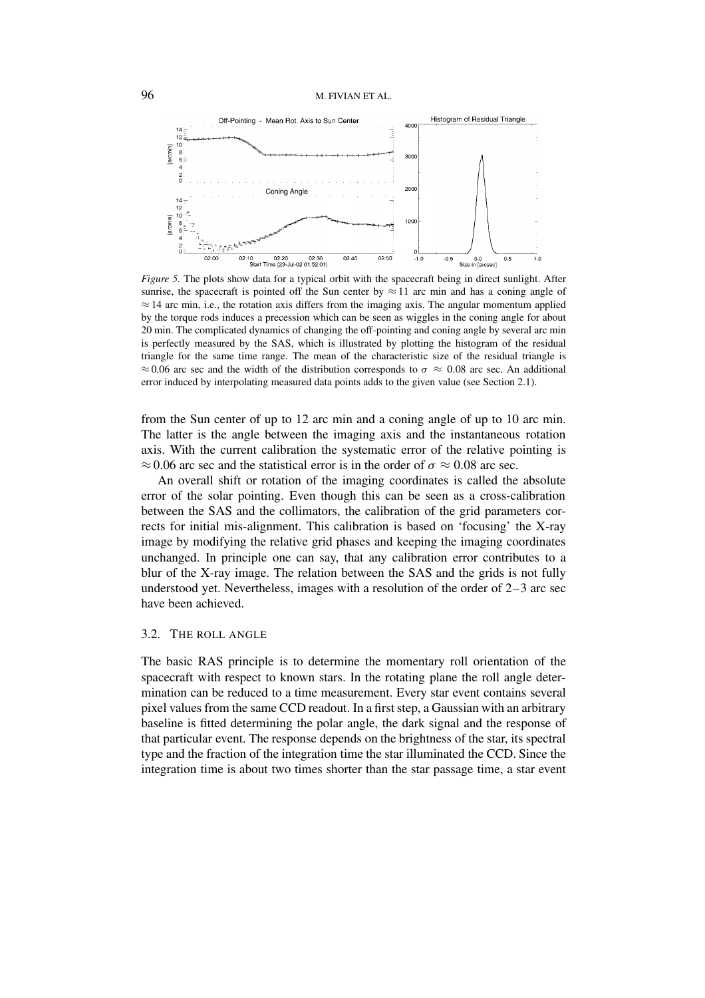

*Figure 5.* The plots show data for a typical orbit with the spacecraft being in direct sunlight. After sunrise, the spacecraft is pointed off the Sun center by  $\approx$  11 arc min and has a coning angle of  $\approx$  14 arc min, i.e., the rotation axis differs from the imaging axis. The angular momentum applied by the torque rods induces a precession which can be seen as wiggles in the coning angle for about 20 min. The complicated dynamics of changing the off-pointing and coning angle by several arc min is perfectly measured by the SAS, which is illustrated by plotting the histogram of the residual triangle for the same time range. The mean of the characteristic size of the residual triangle is  $\approx 0.06$  arc sec and the width of the distribution corresponds to  $\sigma \approx 0.08$  arc sec. An additional error induced by interpolating measured data points adds to the given value (see Section 2.1).

from the Sun center of up to 12 arc min and a coning angle of up to 10 arc min. The latter is the angle between the imaging axis and the instantaneous rotation axis. With the current calibration the systematic error of the relative pointing is  $\approx 0.06$  arc sec and the statistical error is in the order of  $\sigma \approx 0.08$  arc sec.

An overall shift or rotation of the imaging coordinates is called the absolute error of the solar pointing. Even though this can be seen as a cross-calibration between the SAS and the collimators, the calibration of the grid parameters corrects for initial mis-alignment. This calibration is based on 'focusing' the X-ray image by modifying the relative grid phases and keeping the imaging coordinates unchanged. In principle one can say, that any calibration error contributes to a blur of the X-ray image. The relation between the SAS and the grids is not fully understood yet. Nevertheless, images with a resolution of the order of 2–3 arc sec have been achieved.

### 3.2. THE ROLL ANGLE

The basic RAS principle is to determine the momentary roll orientation of the spacecraft with respect to known stars. In the rotating plane the roll angle determination can be reduced to a time measurement. Every star event contains several pixel values from the same CCD readout. In a first step, a Gaussian with an arbitrary baseline is fitted determining the polar angle, the dark signal and the response of that particular event. The response depends on the brightness of the star, its spectral type and the fraction of the integration time the star illuminated the CCD. Since the integration time is about two times shorter than the star passage time, a star event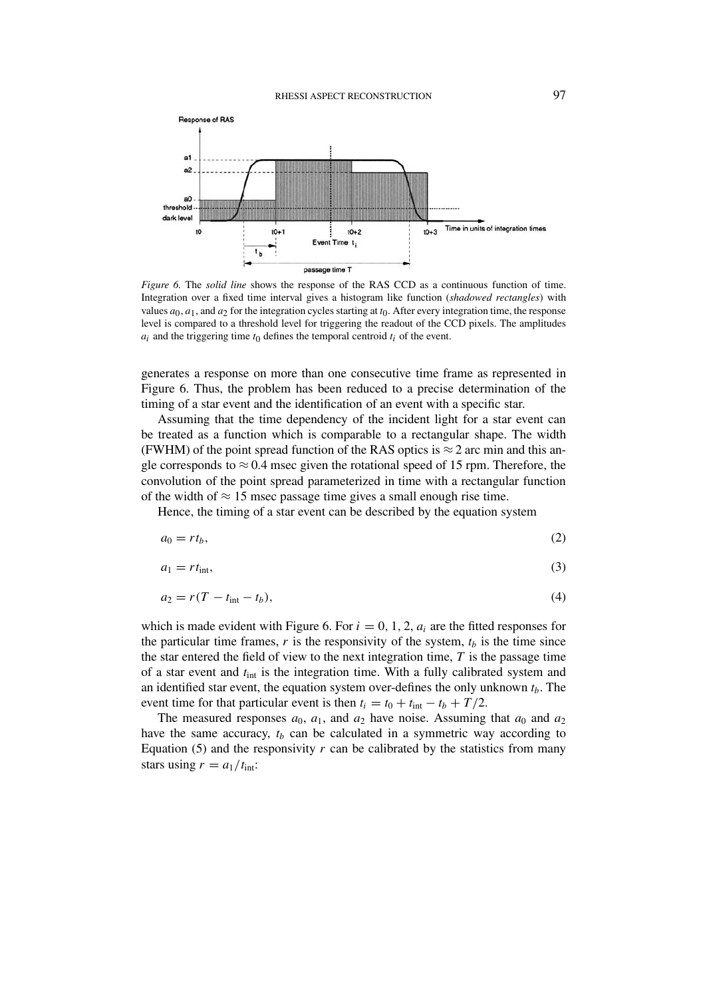

*Figure 6.* The *solid line* shows the response of the RAS CCD as a continuous function of time. Integration over a fixed time interval gives a histogram like function (*shadowed rectangles*) with values  $a_0$ ,  $a_1$ , and  $a_2$  for the integration cycles starting at  $t_0$ . After every integration time, the response level is compared to a threshold level for triggering the readout of the CCD pixels. The amplitudes  $a_i$  and the triggering time  $t_0$  defines the temporal centroid  $t_i$  of the event.

generates a response on more than one consecutive time frame as represented in Figure 6. Thus, the problem has been reduced to a precise determination of the timing of a star event and the identification of an event with a specific star.

Assuming that the time dependency of the incident light for a star event can be treated as a function which is comparable to a rectangular shape. The width (FWHM) of the point spread function of the RAS optics is  $\approx$  2 arc min and this angle corresponds to  $\approx 0.4$  msec given the rotational speed of 15 rpm. Therefore, the convolution of the point spread parameterized in time with a rectangular function of the width of  $\approx 15$  msec passage time gives a small enough rise time.

Hence, the timing of a star event can be described by the equation system

$$
a_0 = rt_b,\tag{2}
$$

$$
a_1 = rt_{\text{int}}, \tag{3}
$$

$$
a_2 = r(T - tint - tb),
$$
\n(4)

which is made evident with Figure 6. For  $i = 0, 1, 2, a_i$  are the fitted responses for the particular time frames,  $r$  is the responsivity of the system,  $t_b$  is the time since the star entered the field of view to the next integration time,  $T$  is the passage time of a star event and *t*int is the integration time. With a fully calibrated system and an identified star event, the equation system over-defines the only unknown  $t<sub>b</sub>$ . The event time for that particular event is then  $t_i = t_0 + t_{int} - t_b + T/2$ .

The measured responses  $a_0$ ,  $a_1$ , and  $a_2$  have noise. Assuming that  $a_0$  and  $a_2$ have the same accuracy,  $t_b$  can be calculated in a symmetric way according to Equation (5) and the responsivity  $r$  can be calibrated by the statistics from many stars using  $r = a_1/t_{\text{int}}$ :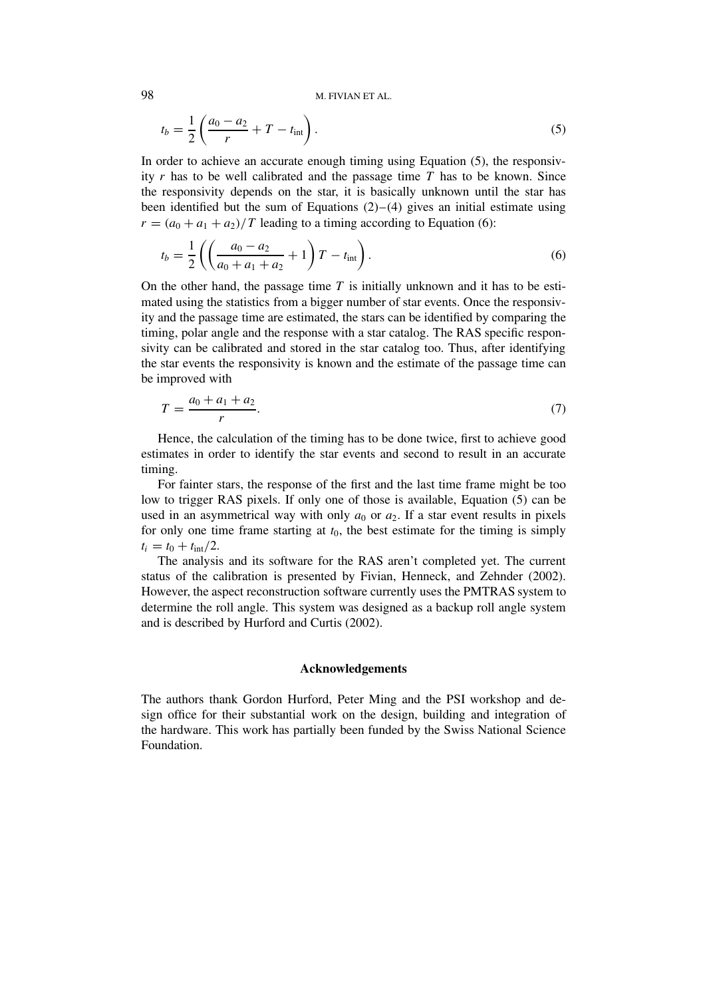98 M. FIVIAN ET AL.

$$
t_b = \frac{1}{2} \left( \frac{a_0 - a_2}{r} + T - t_{\text{int}} \right).
$$
 (5)

In order to achieve an accurate enough timing using Equation (5), the responsivity *r* has to be well calibrated and the passage time *T* has to be known. Since the responsivity depends on the star, it is basically unknown until the star has been identified but the sum of Equations  $(2)$ – $(4)$  gives an initial estimate using  $r = (a_0 + a_1 + a_2)/T$  leading to a timing according to Equation (6):

$$
t_b = \frac{1}{2} \left( \left( \frac{a_0 - a_2}{a_0 + a_1 + a_2} + 1 \right) T - t_{\text{int}} \right). \tag{6}
$$

On the other hand, the passage time *T* is initially unknown and it has to be estimated using the statistics from a bigger number of star events. Once the responsivity and the passage time are estimated, the stars can be identified by comparing the timing, polar angle and the response with a star catalog. The RAS specific responsivity can be calibrated and stored in the star catalog too. Thus, after identifying the star events the responsivity is known and the estimate of the passage time can be improved with

$$
T = \frac{a_0 + a_1 + a_2}{r}.\tag{7}
$$

Hence, the calculation of the timing has to be done twice, first to achieve good estimates in order to identify the star events and second to result in an accurate timing.

For fainter stars, the response of the first and the last time frame might be too low to trigger RAS pixels. If only one of those is available, Equation (5) can be used in an asymmetrical way with only  $a_0$  or  $a_2$ . If a star event results in pixels for only one time frame starting at  $t_0$ , the best estimate for the timing is simply  $t_i = t_0 + t_{int}/2.$ 

The analysis and its software for the RAS aren't completed yet. The current status of the calibration is presented by Fivian, Henneck, and Zehnder (2002). However, the aspect reconstruction software currently uses the PMTRAS system to determine the roll angle. This system was designed as a backup roll angle system and is described by Hurford and Curtis (2002).

## **Acknowledgements**

The authors thank Gordon Hurford, Peter Ming and the PSI workshop and design office for their substantial work on the design, building and integration of the hardware. This work has partially been funded by the Swiss National Science Foundation.